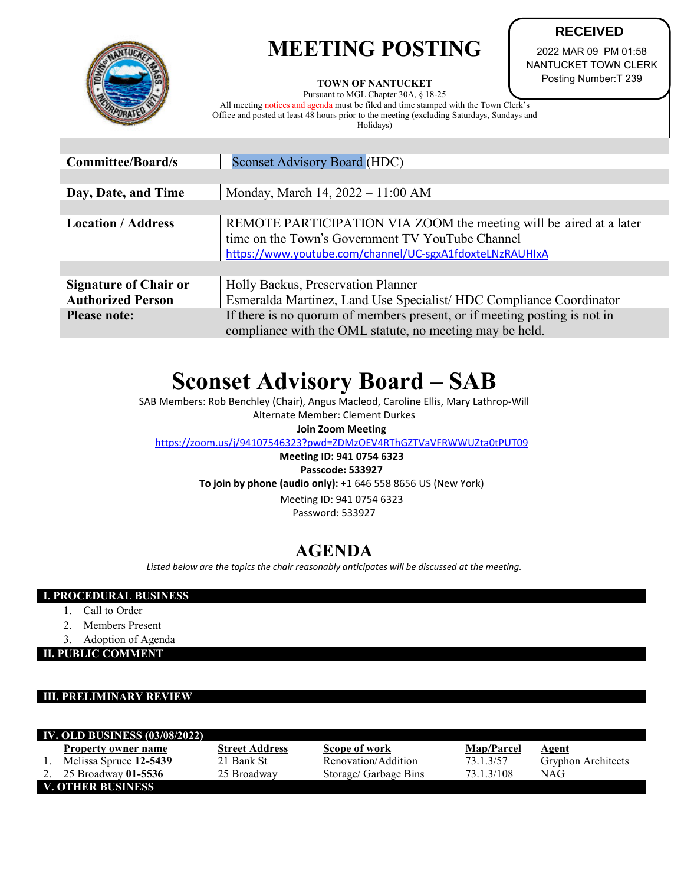# **MEETING POSTING**



#### **TOWN OF NANTUCKET**

Pursuant to MGL Chapter 30A, § 18-25

All meeting notices and agenda must be filed and time stamped with the Town Clerk's Office and posted at least 48 hours prior to the meeting (excluding Saturdays, Sundays and Holidays)

2022 MAR 09 PM 01:58 NANTUCKET TOWN CLERK Posting Number:T 239

**RECEIVED**

| <b>Committee/Board/s</b>                                 | <b>Sconset Advisory Board (HDC)</b>                                                                                                                                                |  |  |  |
|----------------------------------------------------------|------------------------------------------------------------------------------------------------------------------------------------------------------------------------------------|--|--|--|
|                                                          |                                                                                                                                                                                    |  |  |  |
| Day, Date, and Time                                      | Monday, March 14, 2022 - 11:00 AM                                                                                                                                                  |  |  |  |
|                                                          |                                                                                                                                                                                    |  |  |  |
| <b>Location / Address</b>                                | REMOTE PARTICIPATION VIA ZOOM the meeting will be aired at a later<br>time on the Town's Government TV YouTube Channel<br>https://www.youtube.com/channel/UC-sgxA1fdoxteLNzRAUHIxA |  |  |  |
|                                                          |                                                                                                                                                                                    |  |  |  |
| <b>Signature of Chair or</b><br><b>Authorized Person</b> | Holly Backus, Preservation Planner<br>Esmeralda Martinez, Land Use Specialist/HDC Compliance Coordinator                                                                           |  |  |  |
| <b>Please note:</b>                                      | If there is no quorum of members present, or if meeting posting is not in<br>compliance with the OML statute, no meeting may be held.                                              |  |  |  |

## **Sconset Advisory Board – SAB**

SAB Members: Rob Benchley (Chair), Angus Macleod, Caroline Ellis, Mary Lathrop-Will

Alternate Member: Clement Durkes **Join Zoom Meeting**

<https://zoom.us/j/94107546323?pwd=ZDMzOEV4RThGZTVaVFRWWUZta0tPUT09>

### **Meeting ID: 941 0754 6323 Passcode: 533927 To join by phone (audio only):** +1 646 558 8656 US (New York) Meeting ID: 941 0754 6323

Password: 533927

## **AGENDA**

*Listed below are the topics the chair reasonably anticipates will be discussed at the meeting.*

### **I. PROCEDURAL BUSINESS**

- 1. Call to Order
- 2. Members Present
- 3. Adoption of Agenda

**II. PUBLIC COMMENT**

### **III. PRELIMINARY REVIEW**

| <b>IV. OLD BUSINESS (03/08/2022)</b> |                            |                       |                       |                   |                           |  |  |
|--------------------------------------|----------------------------|-----------------------|-----------------------|-------------------|---------------------------|--|--|
|                                      | <b>Property owner name</b> | <b>Street Address</b> | Scope of work         | <b>Map/Parcel</b> | Agent                     |  |  |
|                                      | Melissa Spruce 12-5439     | 21 Bank St            | Renovation/Addition   | 73.1.3/57         | <b>Gryphon Architects</b> |  |  |
|                                      | 25 Broadway 01-5536        | 25 Broadway           | Storage/ Garbage Bins | 73.1.3/108        | NAG                       |  |  |
| V. OTHER BUSINESS                    |                            |                       |                       |                   |                           |  |  |